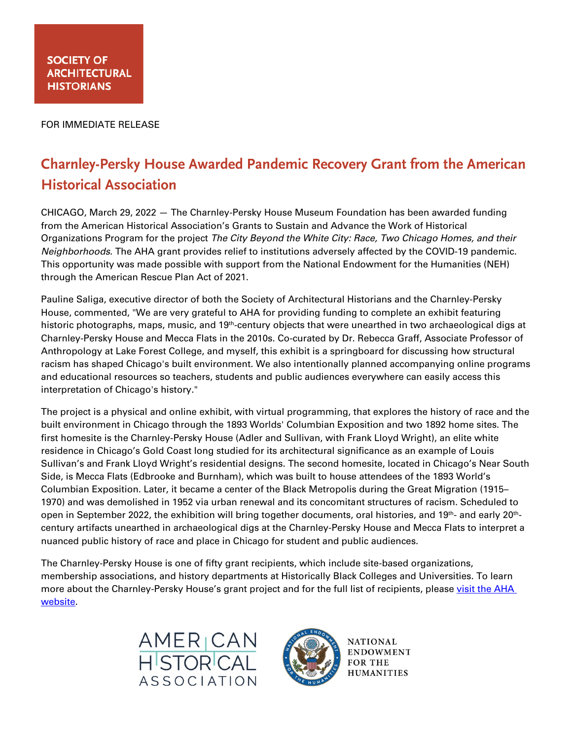FOR IMMEDIATE RELEASE

# **Charnley-Persky House Awarded Pandemic Recovery Grant from the American Historical Association**

CHICAGO, March 29, 2022 — The Charnley-Persky House Museum Foundation has been awarded funding from the American Historical Association's Grants to Sustain and Advance the Work of Historical Organizations Program for the project *The City Beyond the White City: Race, Two Chicago Homes, and their Neighborhoods*. The AHA grant provides relief to institutions adversely affected by the COVID-19 pandemic. This opportunity was made possible with support from the National Endowment for the Humanities (NEH) through the American Rescue Plan Act of 2021.

Pauline Saliga, executive director of both the Society of Architectural Historians and the Charnley-Persky House, commented, "We are very grateful to AHA for providing funding to complete an exhibit featuring historic photographs, maps, music, and 19<sup>th</sup>-century objects that were unearthed in two archaeological digs at Charnley-Persky House and Mecca Flats in the 2010s. Co-curated by Dr. Rebecca Graff, Associate Professor of Anthropology at Lake Forest College, and myself, this exhibit is a springboard for discussing how structural racism has shaped Chicago's built environment. We also intentionally planned accompanying online programs and educational resources so teachers, students and public audiences everywhere can easily access this interpretation of Chicago's history."

The project is a physical and online exhibit, with virtual programming, that explores the history of race and the built environment in Chicago through the 1893 Worlds' Columbian Exposition and two 1892 home sites. The first homesite is the Charnley-Persky House (Adler and Sullivan, with Frank Lloyd Wright), an elite white residence in Chicago's Gold Coast long studied for its architectural significance as an example of Louis Sullivan's and Frank Lloyd Wright's residential designs. The second homesite, located in Chicago's Near South Side, is Mecca Flats (Edbrooke and Burnham), which was built to house attendees of the 1893 World's Columbian Exposition. Later, it became a center of the Black Metropolis during the Great Migration (1915– 1970) and was demolished in 1952 via urban renewal and its concomitant structures of racism. Scheduled to open in September 2022, the exhibition will bring together documents, oral histories, and 19<sup>th</sup>- and early 20<sup>th</sup>century artifacts unearthed in archaeological digs at the Charnley-Persky House and Mecca Flats to interpret a nuanced public history of race and place in Chicago for student and public audiences.

The Charnley-Persky House is one of fifty grant recipients, which include site-based organizations, membership associations, and history departments at Historically Black Colleges and Universities. To learn more about the Charnley-Persky House's grant project and for the full list of recipients, please visit the AHA website.





**NATIONAL ENDOWMENT FOR THE HUMANITIES**